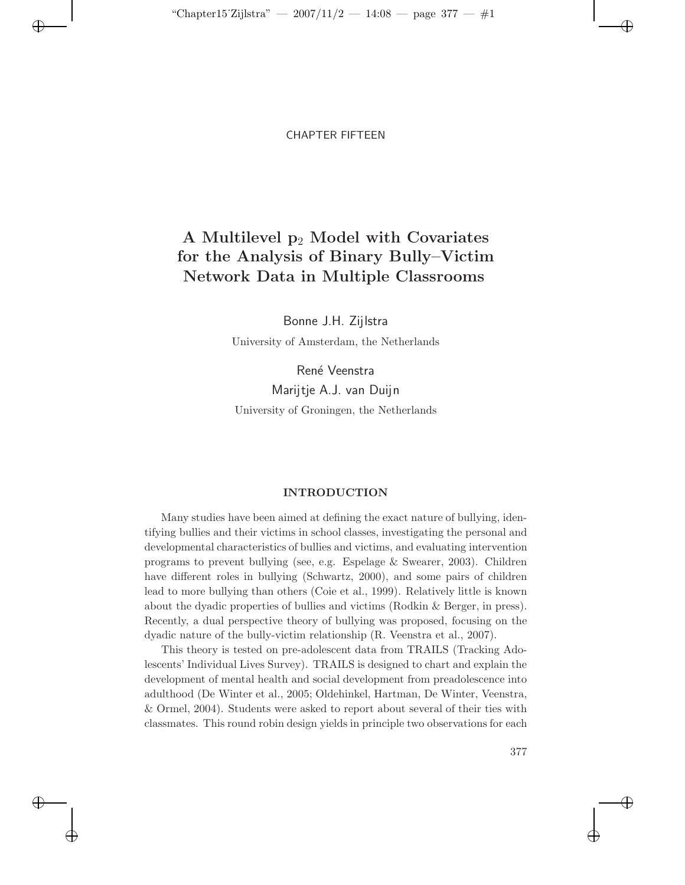$\oplus$ 

✐

 $\oplus$ 

### CHAPTER FIFTEEN

# **A Multilevel p**<sup>2</sup> **Model with Covariates for the Analysis of Binary Bully–Victim Network Data in Multiple Classrooms**

Bonne J.H. Zijlstra

University of Amsterdam, the Netherlands

René Veenstra

Marijtje A.J. van Duijn University of Groningen, the Netherlands

### **INTRODUCTION**

Many studies have been aimed at defining the exact nature of bullying, identifying bullies and their victims in school classes, investigating the personal and developmental characteristics of bullies and victims, and evaluating intervention programs to prevent bullying (see, e.g. Espelage & Swearer, 2003). Children have different roles in bullying (Schwartz, 2000), and some pairs of children lead to more bullying than others (Coie et al., 1999). Relatively little is known about the dyadic properties of bullies and victims (Rodkin & Berger, in press). Recently, a dual perspective theory of bullying was proposed, focusing on the dyadic nature of the bully-victim relationship (R. Veenstra et al., 2007).

This theory is tested on pre-adolescent data from TRAILS (Tracking Adolescents' Individual Lives Survey). TRAILS is designed to chart and explain the development of mental health and social development from preadolescence into adulthood (De Winter et al., 2005; Oldehinkel, Hartman, De Winter, Veenstra, & Ormel, 2004). Students were asked to report about several of their ties with classmates. This round robin design yields in principle two observations for each

377

✐

✐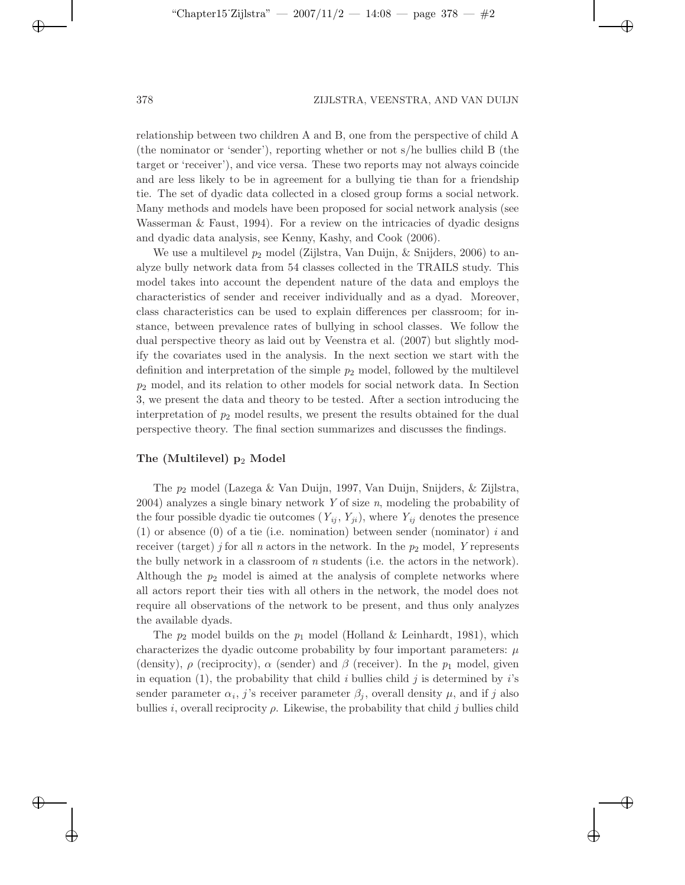$\Theta$ 

✐

✐

relationship between two children A and B, one from the perspective of child A (the nominator or 'sender'), reporting whether or not s/he bullies child B (the target or 'receiver'), and vice versa. These two reports may not always coincide and are less likely to be in agreement for a bullying tie than for a friendship tie. The set of dyadic data collected in a closed group forms a social network. Many methods and models have been proposed for social network analysis (see Wasserman  $\&$  Faust, 1994). For a review on the intricacies of dyadic designs and dyadic data analysis, see Kenny, Kashy, and Cook (2006).

We use a multilevel  $p_2$  model (Zijlstra, Van Duijn, & Snijders, 2006) to analyze bully network data from 54 classes collected in the TRAILS study. This model takes into account the dependent nature of the data and employs the characteristics of sender and receiver individually and as a dyad. Moreover, class characteristics can be used to explain differences per classroom; for instance, between prevalence rates of bullying in school classes. We follow the dual perspective theory as laid out by Veenstra et al. (2007) but slightly modify the covariates used in the analysis. In the next section we start with the definition and interpretation of the simple *p*<sup>2</sup> model, followed by the multilevel *p*<sup>2</sup> model, and its relation to other models for social network data. In Section 3, we present the data and theory to be tested. After a section introducing the interpretation of  $p_2$  model results, we present the results obtained for the dual perspective theory. The final section summarizes and discusses the findings.

### **The (Multilevel) p**<sup>2</sup> **Model**

The *p*<sup>2</sup> model (Lazega & Van Duijn, 1997, Van Duijn, Snijders, & Zijlstra, 2004) analyzes a single binary network *Y* of size *n*, modeling the probability of the four possible dyadic tie outcomes  $(Y_{ij}, Y_{ji})$ , where  $Y_{ij}$  denotes the presence (1) or absence (0) of a tie (i.e. nomination) between sender (nominator) *i* and receiver (target) *j* for all *n* actors in the network. In the  $p_2$  model, *Y* represents the bully network in a classroom of *n* students (i.e. the actors in the network). Although the  $p_2$  model is aimed at the analysis of complete networks where all actors report their ties with all others in the network, the model does not require all observations of the network to be present, and thus only analyzes the available dyads.

The  $p_2$  model builds on the  $p_1$  model (Holland & Leinhardt, 1981), which characterizes the dyadic outcome probability by four important parameters:  $\mu$ (density),  $\rho$  (reciprocity),  $\alpha$  (sender) and  $\beta$  (receiver). In the  $p_1$  model, given in equation (1), the probability that child  $i$  bullies child  $j$  is determined by  $i$ 's sender parameter  $\alpha_i$ , *j*'s receiver parameter  $\beta_j$ , overall density  $\mu$ , and if *j* also bullies *i*, overall reciprocity  $\rho$ . Likewise, the probability that child *j* bullies child

✐

✐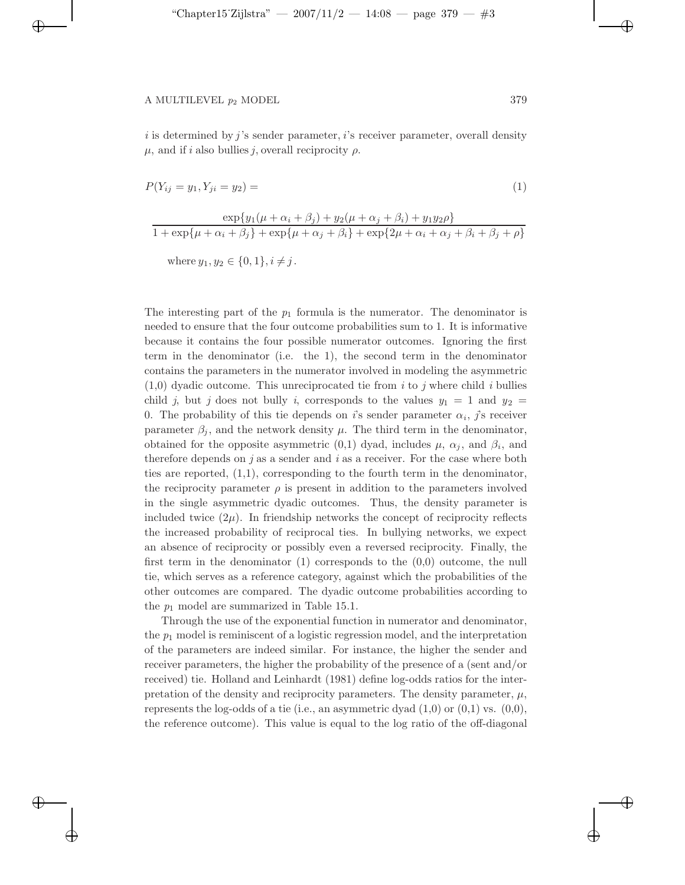✐

✐

 $\oplus$ 

*i* is determined by *j* 's sender parameter, *i*'s receiver parameter, overall density μ, and if *i* also bullies *j*, overall reciprocity ρ.

$$
P(Y_{ij} = y_1, Y_{ji} = y_2) = \t\t(1)
$$

$$
\frac{\exp\{y_1(\mu+\alpha_i+\beta_j)+y_2(\mu+\alpha_j+\beta_i)+y_1y_2\rho\}}{1+\exp\{\mu+\alpha_i+\beta_j\}+\exp\{\mu+\alpha_j+\beta_i\}+\exp\{2\mu+\alpha_i+\alpha_j+\beta_i+\beta_j+\rho\}}
$$

where  $y_1, y_2 \in \{0, 1\}, i \neq j$ .

The interesting part of the  $p_1$  formula is the numerator. The denominator is needed to ensure that the four outcome probabilities sum to 1. It is informative because it contains the four possible numerator outcomes. Ignoring the first term in the denominator (i.e. the 1), the second term in the denominator contains the parameters in the numerator involved in modeling the asymmetric (1,0) dyadic outcome. This unreciprocated tie from *i* to *j* where child *i* bullies child *j*, but *j* does not bully *i*, corresponds to the values  $y_1 = 1$  and  $y_2 =$ 0. The probability of this tie depends on *i*'s sender parameter  $\alpha_i$ , *j*'s receiver parameter  $\beta_i$ , and the network density  $\mu$ . The third term in the denominator, obtained for the opposite asymmetric  $(0,1)$  dyad, includes  $\mu$ ,  $\alpha_j$ , and  $\beta_i$ , and therefore depends on *j* as a sender and *i* as a receiver. For the case where both ties are reported, (1,1), corresponding to the fourth term in the denominator, the reciprocity parameter  $\rho$  is present in addition to the parameters involved in the single asymmetric dyadic outcomes. Thus, the density parameter is included twice  $(2\mu)$ . In friendship networks the concept of reciprocity reflects the increased probability of reciprocal ties. In bullying networks, we expect an absence of reciprocity or possibly even a reversed reciprocity. Finally, the first term in the denominator  $(1)$  corresponds to the  $(0,0)$  outcome, the null tie, which serves as a reference category, against which the probabilities of the other outcomes are compared. The dyadic outcome probabilities according to the *p*<sup>1</sup> model are summarized in Table 15.1.

Through the use of the exponential function in numerator and denominator, the  $p_1$  model is reminiscent of a logistic regression model, and the interpretation of the parameters are indeed similar. For instance, the higher the sender and receiver parameters, the higher the probability of the presence of a (sent and/or received) tie. Holland and Leinhardt (1981) define log-odds ratios for the interpretation of the density and reciprocity parameters. The density parameter,  $\mu$ , represents the log-odds of a tie (i.e., an asymmetric dyad  $(1,0)$  or  $(0,1)$  vs.  $(0,0)$ , the reference outcome). This value is equal to the log ratio of the off-diagonal  $\Theta$ 

✐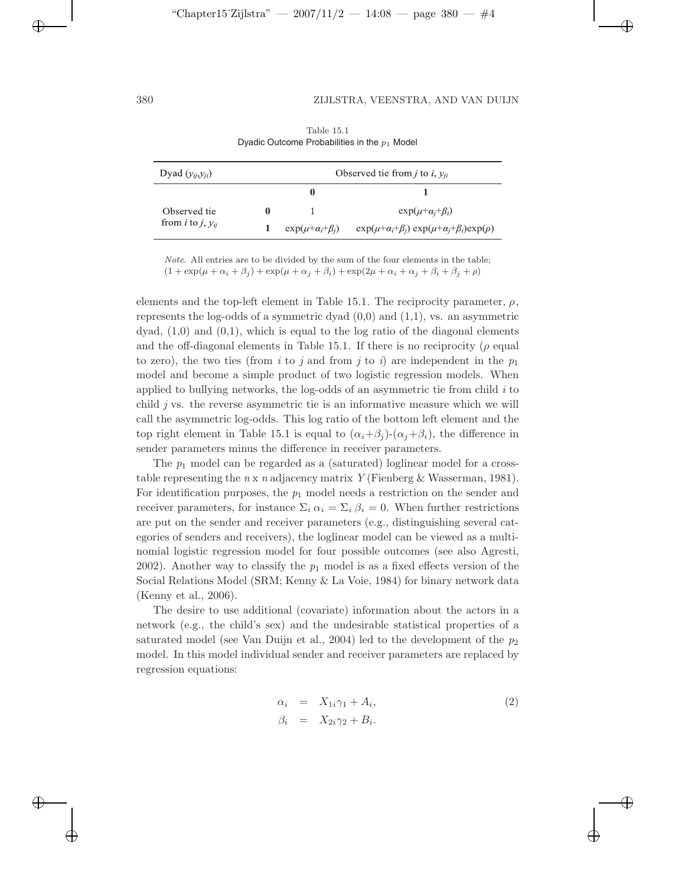✐

✐

✐

| Dyad $(y_{ii}, y_{ii})$              |   |                                  | Observed tie from <i>j</i> to <i>i</i> , $y_{ji}$                          |
|--------------------------------------|---|----------------------------------|----------------------------------------------------------------------------|
|                                      |   | $\bf{0}$                         |                                                                            |
| Observed tie                         | 0 |                                  | $\exp(\mu + \alpha_i + \beta_i)$                                           |
| from <i>i</i> to <i>j</i> , $v_{ii}$ |   | $\exp(\mu + \alpha_i + \beta_i)$ | $\exp(\mu + \alpha_i + \beta_i) \exp(\mu + \alpha_i + \beta_i) \exp(\rho)$ |

|                                                 | Table 15.1 |  |
|-------------------------------------------------|------------|--|
| Dyadic Outcome Probabilities in the $p_1$ Model |            |  |

*Note*. All entries are to be divided by the sum of the four elements in the table;  $(1 + \exp(\mu + \alpha_i + \beta_j) + \exp(\mu + \alpha_j + \beta_i) + \exp(2\mu + \alpha_i + \alpha_j + \beta_i + \beta_j + \rho)$ 

elements and the top-left element in Table 15.1. The reciprocity parameter,  $\rho$ , represents the log-odds of a symmetric dyad  $(0,0)$  and  $(1,1)$ , vs. an asymmetric dyad,  $(1,0)$  and  $(0,1)$ , which is equal to the log ratio of the diagonal elements and the off-diagonal elements in Table 15.1. If there is no reciprocity ( $\rho$  equal to zero), the two ties (from *i* to *j* and from *j* to *i*) are independent in the  $p_1$ model and become a simple product of two logistic regression models. When applied to bullying networks, the log-odds of an asymmetric tie from child *i* to child *j* vs. the reverse asymmetric tie is an informative measure which we will call the asymmetric log-odds. This log ratio of the bottom left element and the top right element in Table 15.1 is equal to  $(\alpha_i + \beta_i)$ - $(\alpha_i + \beta_i)$ , the difference in sender parameters minus the difference in receiver parameters.

The  $p_1$  model can be regarded as a (saturated) loglinear model for a crosstable representing the *n* x *n* adjacency matrix *Y* (Fienberg & Wasserman, 1981). For identification purposes, the  $p_1$  model needs a restriction on the sender and receiver parameters, for instance  $\Sigma_i \alpha_i = \Sigma_i \beta_i = 0$ . When further restrictions are put on the sender and receiver parameters (e.g., distinguishing several categories of senders and receivers), the loglinear model can be viewed as a multinomial logistic regression model for four possible outcomes (see also Agresti, 2002). Another way to classify the  $p_1$  model is as a fixed effects version of the Social Relations Model (SRM; Kenny & La Voie, 1984) for binary network data (Kenny et al., 2006).

The desire to use additional (covariate) information about the actors in a network (e.g., the child's sex) and the undesirable statistical properties of a saturated model (see Van Duijn et al., 2004) led to the development of the *p*<sup>2</sup> model. In this model individual sender and receiver parameters are replaced by regression equations:

$$
\alpha_i = X_{1i}\gamma_1 + A_i, \n\beta_i = X_{2i}\gamma_2 + B_i.
$$
\n(2)

✐

✐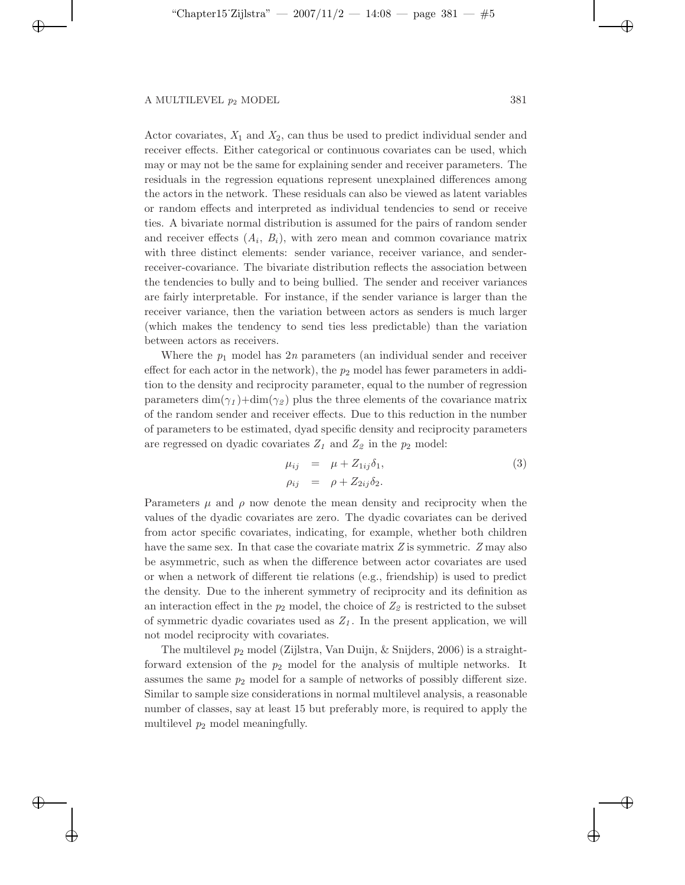✐

✐

✐

Actor covariates, *X*<sup>1</sup> and *X*2, can thus be used to predict individual sender and receiver effects. Either categorical or continuous covariates can be used, which may or may not be the same for explaining sender and receiver parameters. The residuals in the regression equations represent unexplained differences among the actors in the network. These residuals can also be viewed as latent variables or random effects and interpreted as individual tendencies to send or receive ties. A bivariate normal distribution is assumed for the pairs of random sender and receiver effects  $(A_i, B_i)$ , with zero mean and common covariance matrix with three distinct elements: sender variance, receiver variance, and senderreceiver-covariance. The bivariate distribution reflects the association between the tendencies to bully and to being bullied. The sender and receiver variances are fairly interpretable. For instance, if the sender variance is larger than the receiver variance, then the variation between actors as senders is much larger (which makes the tendency to send ties less predictable) than the variation between actors as receivers.

Where the  $p_1$  model has  $2n$  parameters (an individual sender and receiver effect for each actor in the network), the  $p_2$  model has fewer parameters in addition to the density and reciprocity parameter, equal to the number of regression parameters  $\dim(\gamma_1)+\dim(\gamma_2)$  plus the three elements of the covariance matrix of the random sender and receiver effects. Due to this reduction in the number of parameters to be estimated, dyad specific density and reciprocity parameters are regressed on dyadic covariates  $Z_1$  and  $Z_2$  in the  $p_2$  model:

$$
\mu_{ij} = \mu + Z_{1ij}\delta_1, \n\rho_{ij} = \rho + Z_{2ij}\delta_2.
$$
\n(3)

Parameters  $\mu$  and  $\rho$  now denote the mean density and reciprocity when the values of the dyadic covariates are zero. The dyadic covariates can be derived from actor specific covariates, indicating, for example, whether both children have the same sex. In that case the covariate matrix *Z* is symmetric. *Z* may also be asymmetric, such as when the difference between actor covariates are used or when a network of different tie relations (e.g., friendship) is used to predict the density. Due to the inherent symmetry of reciprocity and its definition as an interaction effect in the  $p_2$  model, the choice of  $Z_2$  is restricted to the subset of symmetric dyadic covariates used as  $Z<sub>1</sub>$ . In the present application, we will not model reciprocity with covariates.

The multilevel *p*<sup>2</sup> model (Zijlstra, Van Duijn, & Snijders, 2006) is a straightforward extension of the  $p_2$  model for the analysis of multiple networks. It assumes the same  $p_2$  model for a sample of networks of possibly different size. Similar to sample size considerations in normal multilevel analysis, a reasonable number of classes, say at least 15 but preferably more, is required to apply the multilevel *p*<sup>2</sup> model meaningfully.

 $\Theta$ 

✐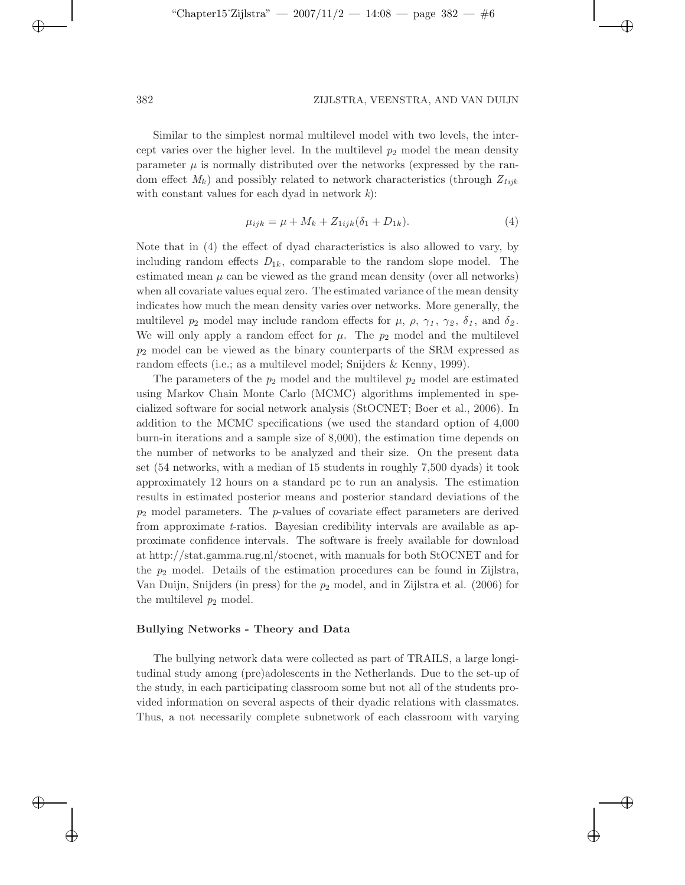$\Theta$ 

✐

✐

Similar to the simplest normal multilevel model with two levels, the intercept varies over the higher level. In the multilevel  $p_2$  model the mean density parameter  $\mu$  is normally distributed over the networks (expressed by the random effect *Mk*) and possibly related to network characteristics (through *Z1ijk* with constant values for each dyad in network *k*):

$$
\mu_{ijk} = \mu + M_k + Z_{1ijk}(\delta_1 + D_{1k}).\tag{4}
$$

Note that in (4) the effect of dyad characteristics is also allowed to vary, by including random effects  $D_{1k}$ , comparable to the random slope model. The estimated mean  $\mu$  can be viewed as the grand mean density (over all networks) when all covariate values equal zero. The estimated variance of the mean density indicates how much the mean density varies over networks. More generally, the multilevel  $p_2$  model may include random effects for  $\mu$ ,  $\rho$ ,  $\gamma_1$ ,  $\gamma_2$ ,  $\delta_1$ , and  $\delta_2$ . We will only apply a random effect for  $\mu$ . The  $p_2$  model and the multilevel *p*<sup>2</sup> model can be viewed as the binary counterparts of the SRM expressed as random effects (i.e.; as a multilevel model; Snijders & Kenny, 1999).

The parameters of the *p*<sup>2</sup> model and the multilevel *p*<sup>2</sup> model are estimated using Markov Chain Monte Carlo (MCMC) algorithms implemented in specialized software for social network analysis (StOCNET; Boer et al., 2006). In addition to the MCMC specifications (we used the standard option of 4,000 burn-in iterations and a sample size of 8,000), the estimation time depends on the number of networks to be analyzed and their size. On the present data set (54 networks, with a median of 15 students in roughly 7,500 dyads) it took approximately 12 hours on a standard pc to run an analysis. The estimation results in estimated posterior means and posterior standard deviations of the *p*<sup>2</sup> model parameters. The *p*-values of covariate effect parameters are derived from approximate *t*-ratios. Bayesian credibility intervals are available as approximate confidence intervals. The software is freely available for download at http://stat.gamma.rug.nl/stocnet, with manuals for both StOCNET and for the  $p_2$  model. Details of the estimation procedures can be found in Zijlstra, Van Duijn, Snijders (in press) for the *p*<sup>2</sup> model, and in Zijlstra et al. (2006) for the multilevel *p*<sup>2</sup> model.

### **Bullying Networks - Theory and Data**

The bullying network data were collected as part of TRAILS, a large longitudinal study among (pre)adolescents in the Netherlands. Due to the set-up of the study, in each participating classroom some but not all of the students provided information on several aspects of their dyadic relations with classmates. Thus, a not necessarily complete subnetwork of each classroom with varying

✐

✐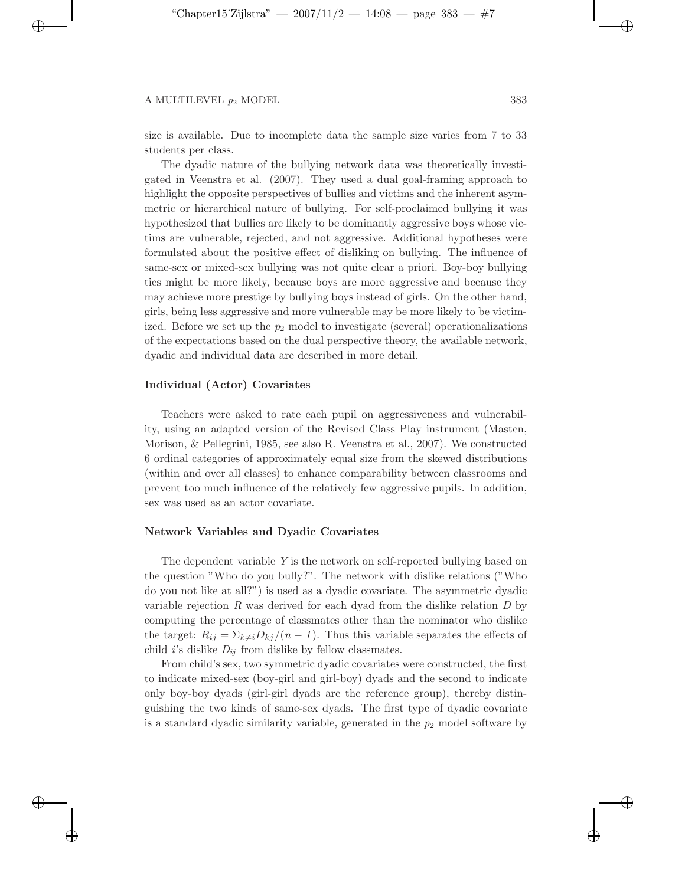✐

✐

✐

 $\Theta$ 

✐

✐

size is available. Due to incomplete data the sample size varies from 7 to 33 students per class.

The dyadic nature of the bullying network data was theoretically investigated in Veenstra et al. (2007). They used a dual goal-framing approach to highlight the opposite perspectives of bullies and victims and the inherent asymmetric or hierarchical nature of bullying. For self-proclaimed bullying it was hypothesized that bullies are likely to be dominantly aggressive boys whose victims are vulnerable, rejected, and not aggressive. Additional hypotheses were formulated about the positive effect of disliking on bullying. The influence of same-sex or mixed-sex bullying was not quite clear a priori. Boy-boy bullying ties might be more likely, because boys are more aggressive and because they may achieve more prestige by bullying boys instead of girls. On the other hand, girls, being less aggressive and more vulnerable may be more likely to be victimized. Before we set up the *p*<sup>2</sup> model to investigate (several) operationalizations of the expectations based on the dual perspective theory, the available network, dyadic and individual data are described in more detail.

### **Individual (Actor) Covariates**

Teachers were asked to rate each pupil on aggressiveness and vulnerability, using an adapted version of the Revised Class Play instrument (Masten, Morison, & Pellegrini, 1985, see also R. Veenstra et al., 2007). We constructed 6 ordinal categories of approximately equal size from the skewed distributions (within and over all classes) to enhance comparability between classrooms and prevent too much influence of the relatively few aggressive pupils. In addition, sex was used as an actor covariate.

## **Network Variables and Dyadic Covariates**

The dependent variable *Y* is the network on self-reported bullying based on the question "Who do you bully?". The network with dislike relations ("Who do you not like at all?") is used as a dyadic covariate. The asymmetric dyadic variable rejection *R* was derived for each dyad from the dislike relation *D* by computing the percentage of classmates other than the nominator who dislike the target:  $R_{ij} = \sum_{k \neq i} D_{kj}/(n-1)$ . Thus this variable separates the effects of child *i*'s dislike  $D_{ij}$  from dislike by fellow classmates.

From child's sex, two symmetric dyadic covariates were constructed, the first to indicate mixed-sex (boy-girl and girl-boy) dyads and the second to indicate only boy-boy dyads (girl-girl dyads are the reference group), thereby distinguishing the two kinds of same-sex dyads. The first type of dyadic covariate is a standard dyadic similarity variable, generated in the *p*<sup>2</sup> model software by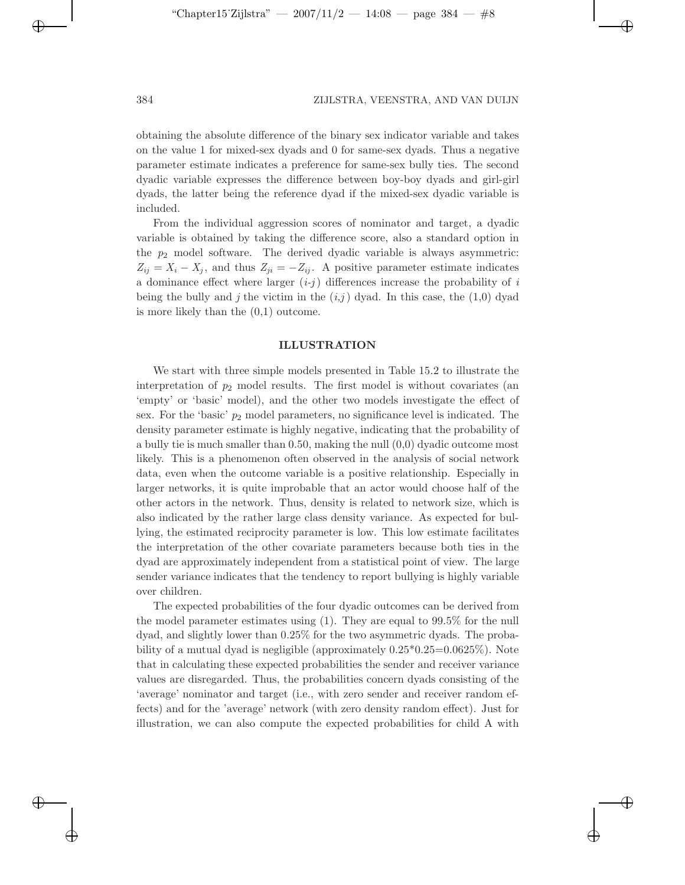$\Theta$ 

✐

✐

obtaining the absolute difference of the binary sex indicator variable and takes on the value 1 for mixed-sex dyads and 0 for same-sex dyads. Thus a negative parameter estimate indicates a preference for same-sex bully ties. The second dyadic variable expresses the difference between boy-boy dyads and girl-girl dyads, the latter being the reference dyad if the mixed-sex dyadic variable is included.

From the individual aggression scores of nominator and target, a dyadic variable is obtained by taking the difference score, also a standard option in the  $p_2$  model software. The derived dyadic variable is always asymmetric:  $Z_{ij} = X_i - X_j$ , and thus  $Z_{ji} = -Z_{ij}$ . A positive parameter estimate indicates a dominance effect where larger  $(i-j)$  differences increase the probability of  $i$ being the bully and *j* the victim in the  $(i,j)$  dyad. In this case, the  $(1,0)$  dyad is more likely than the (0,1) outcome.

### **ILLUSTRATION**

We start with three simple models presented in Table 15.2 to illustrate the interpretation of  $p_2$  model results. The first model is without covariates (an 'empty' or 'basic' model), and the other two models investigate the effect of sex. For the 'basic' *p*<sup>2</sup> model parameters, no significance level is indicated. The density parameter estimate is highly negative, indicating that the probability of a bully tie is much smaller than 0.50, making the null (0,0) dyadic outcome most likely. This is a phenomenon often observed in the analysis of social network data, even when the outcome variable is a positive relationship. Especially in larger networks, it is quite improbable that an actor would choose half of the other actors in the network. Thus, density is related to network size, which is also indicated by the rather large class density variance. As expected for bullying, the estimated reciprocity parameter is low. This low estimate facilitates the interpretation of the other covariate parameters because both ties in the dyad are approximately independent from a statistical point of view. The large sender variance indicates that the tendency to report bullying is highly variable over children.

The expected probabilities of the four dyadic outcomes can be derived from the model parameter estimates using (1). They are equal to 99.5% for the null dyad, and slightly lower than 0.25% for the two asymmetric dyads. The probability of a mutual dyad is negligible (approximately 0.25\*0.25=0.0625%). Note that in calculating these expected probabilities the sender and receiver variance values are disregarded. Thus, the probabilities concern dyads consisting of the 'average' nominator and target (i.e., with zero sender and receiver random effects) and for the 'average' network (with zero density random effect). Just for illustration, we can also compute the expected probabilities for child A with

✐

✐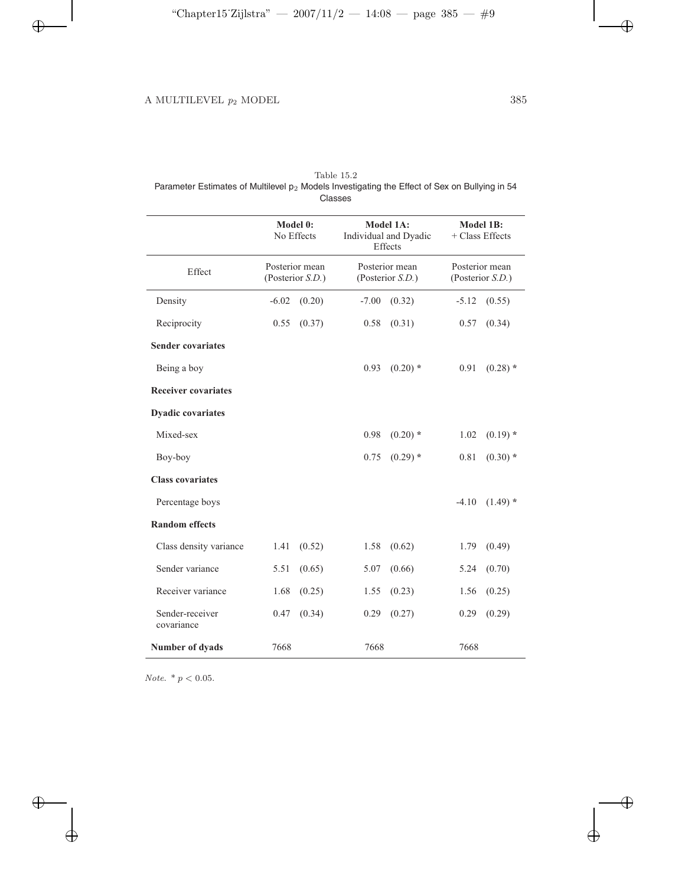$\bigoplus$ 

 $\bigoplus$ 

 $\bigoplus$ 

 $\bigoplus$ 

| Table 15.2                                                                                       |  |
|--------------------------------------------------------------------------------------------------|--|
| Parameter Estimates of Multilevel $p_2$ Models Investigating the Effect of Sex on Bullying in 54 |  |
| Classes                                                                                          |  |

|                               | Model 0:<br>No Effects             | Model 1A:<br>Individual and Dyadic<br>Effects | <b>Model 1B:</b><br>+ Class Effects |
|-------------------------------|------------------------------------|-----------------------------------------------|-------------------------------------|
| Effect                        | Posterior mean<br>(Posterior S.D.) | Posterior mean<br>(Posterior S.D.)            | Posterior mean<br>(Posterior S.D.)  |
| Density                       | $-6.02$<br>(0.20)                  | (0.32)<br>$-7.00$                             | (0.55)<br>$-5.12$                   |
| Reciprocity                   | 0.55<br>(0.37)                     | 0.58<br>(0.31)                                | 0.57<br>(0.34)                      |
| <b>Sender covariates</b>      |                                    |                                               |                                     |
| Being a boy                   |                                    | $(0.20)$ *<br>0.93                            | $(0.28)$ *<br>0.91                  |
| <b>Receiver covariates</b>    |                                    |                                               |                                     |
| <b>Dyadic covariates</b>      |                                    |                                               |                                     |
| Mixed-sex                     |                                    | 0.98<br>$(0.20)$ *                            | 1.02<br>$(0.19)$ *                  |
| Boy-boy                       |                                    | $(0.29)$ *<br>0.75                            | 0.81<br>$(0.30)$ *                  |
| <b>Class covariates</b>       |                                    |                                               |                                     |
| Percentage boys               |                                    |                                               | $-4.10$<br>$(1.49)$ *               |
| <b>Random</b> effects         |                                    |                                               |                                     |
| Class density variance        | 1.41<br>(0.52)                     | 1.58<br>(0.62)                                | 1.79<br>(0.49)                      |
| Sender variance               | 5.51<br>(0.65)                     | (0.66)<br>5.07                                | (0.70)<br>5.24                      |
| Receiver variance             | 1.68<br>(0.25)                     | 1.55<br>(0.23)                                | 1.56<br>(0.25)                      |
| Sender-receiver<br>covariance | 0.47<br>(0.34)                     | 0.29<br>(0.27)                                | 0.29<br>(0.29)                      |
| Number of dyads               | 7668                               | 7668                                          | 7668                                |

 $Note. \,$  \*  $p$   $<$  0.05.

 $\bigoplus$ 

 $\bigoplus$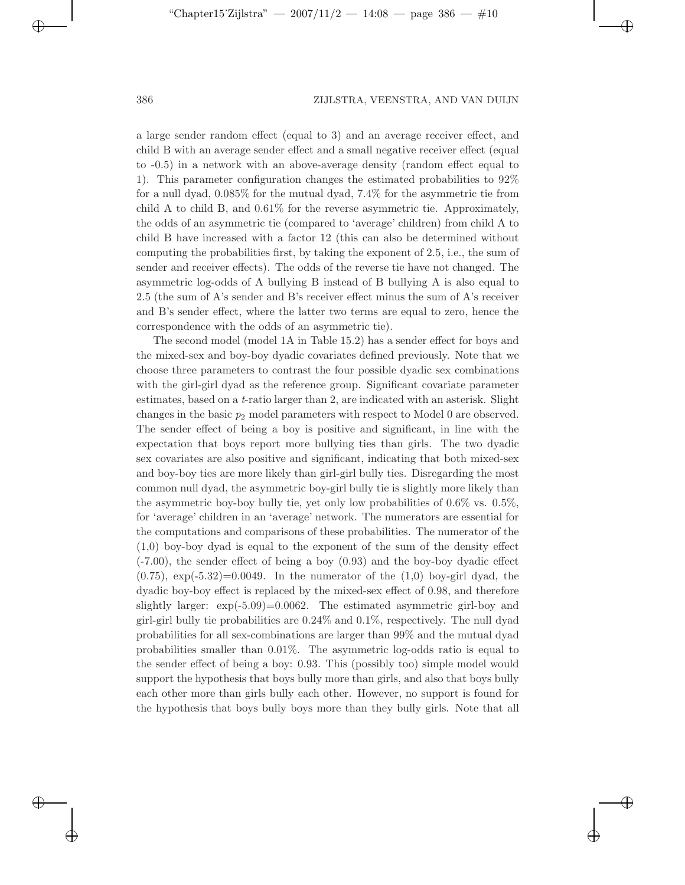$\Theta$ 

✐

✐

a large sender random effect (equal to 3) and an average receiver effect, and child B with an average sender effect and a small negative receiver effect (equal to -0.5) in a network with an above-average density (random effect equal to 1). This parameter configuration changes the estimated probabilities to 92% for a null dyad, 0.085% for the mutual dyad, 7.4% for the asymmetric tie from child A to child B, and 0.61% for the reverse asymmetric tie. Approximately, the odds of an asymmetric tie (compared to 'average' children) from child A to child B have increased with a factor 12 (this can also be determined without computing the probabilities first, by taking the exponent of 2.5, i.e., the sum of sender and receiver effects). The odds of the reverse tie have not changed. The asymmetric log-odds of A bullying B instead of B bullying A is also equal to 2.5 (the sum of A's sender and B's receiver effect minus the sum of A's receiver and B's sender effect, where the latter two terms are equal to zero, hence the correspondence with the odds of an asymmetric tie).

The second model (model 1A in Table 15.2) has a sender effect for boys and the mixed-sex and boy-boy dyadic covariates defined previously. Note that we choose three parameters to contrast the four possible dyadic sex combinations with the girl-girl dyad as the reference group. Significant covariate parameter estimates, based on a *t*-ratio larger than 2, are indicated with an asterisk. Slight changes in the basic  $p_2$  model parameters with respect to Model 0 are observed. The sender effect of being a boy is positive and significant, in line with the expectation that boys report more bullying ties than girls. The two dyadic sex covariates are also positive and significant, indicating that both mixed-sex and boy-boy ties are more likely than girl-girl bully ties. Disregarding the most common null dyad, the asymmetric boy-girl bully tie is slightly more likely than the asymmetric boy-boy bully tie, yet only low probabilities of 0.6% vs. 0.5%, for 'average' children in an 'average' network. The numerators are essential for the computations and comparisons of these probabilities. The numerator of the (1,0) boy-boy dyad is equal to the exponent of the sum of the density effect (-7.00), the sender effect of being a boy (0.93) and the boy-boy dyadic effect  $(0.75)$ ,  $\exp(-5.32)=0.0049$ . In the numerator of the  $(1,0)$  boy-girl dyad, the dyadic boy-boy effect is replaced by the mixed-sex effect of 0.98, and therefore slightly larger: exp(-5.09)=0.0062. The estimated asymmetric girl-boy and girl-girl bully tie probabilities are 0.24% and 0.1%, respectively. The null dyad probabilities for all sex-combinations are larger than 99% and the mutual dyad probabilities smaller than 0.01%. The asymmetric log-odds ratio is equal to the sender effect of being a boy: 0.93. This (possibly too) simple model would support the hypothesis that boys bully more than girls, and also that boys bully each other more than girls bully each other. However, no support is found for the hypothesis that boys bully boys more than they bully girls. Note that all

✐

✐

 $\Theta$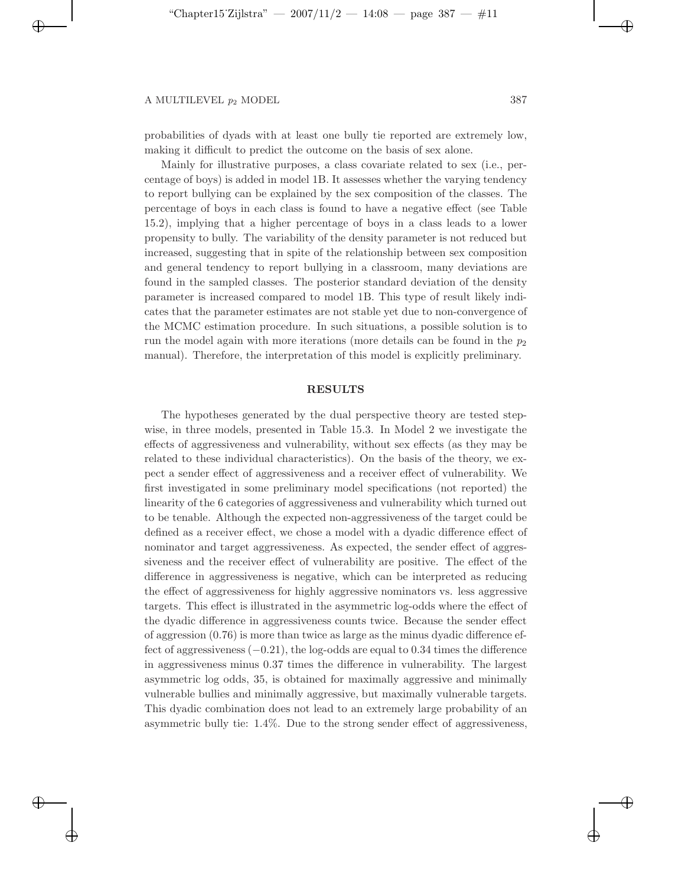✐

✐

✐

probabilities of dyads with at least one bully tie reported are extremely low, making it difficult to predict the outcome on the basis of sex alone.

Mainly for illustrative purposes, a class covariate related to sex (i.e., percentage of boys) is added in model 1B. It assesses whether the varying tendency to report bullying can be explained by the sex composition of the classes. The percentage of boys in each class is found to have a negative effect (see Table 15.2), implying that a higher percentage of boys in a class leads to a lower propensity to bully. The variability of the density parameter is not reduced but increased, suggesting that in spite of the relationship between sex composition and general tendency to report bullying in a classroom, many deviations are found in the sampled classes. The posterior standard deviation of the density parameter is increased compared to model 1B. This type of result likely indicates that the parameter estimates are not stable yet due to non-convergence of the MCMC estimation procedure. In such situations, a possible solution is to run the model again with more iterations (more details can be found in the  $p_2$ ) manual). Therefore, the interpretation of this model is explicitly preliminary.

#### **RESULTS**

The hypotheses generated by the dual perspective theory are tested stepwise, in three models, presented in Table 15.3. In Model 2 we investigate the effects of aggressiveness and vulnerability, without sex effects (as they may be related to these individual characteristics). On the basis of the theory, we expect a sender effect of aggressiveness and a receiver effect of vulnerability. We first investigated in some preliminary model specifications (not reported) the linearity of the 6 categories of aggressiveness and vulnerability which turned out to be tenable. Although the expected non-aggressiveness of the target could be defined as a receiver effect, we chose a model with a dyadic difference effect of nominator and target aggressiveness. As expected, the sender effect of aggressiveness and the receiver effect of vulnerability are positive. The effect of the difference in aggressiveness is negative, which can be interpreted as reducing the effect of aggressiveness for highly aggressive nominators vs. less aggressive targets. This effect is illustrated in the asymmetric log-odds where the effect of the dyadic difference in aggressiveness counts twice. Because the sender effect of aggression  $(0.76)$  is more than twice as large as the minus dyadic difference effect of aggressiveness (−0.21), the log-odds are equal to 0.34 times the difference in aggressiveness minus 0.37 times the difference in vulnerability. The largest asymmetric log odds, 35, is obtained for maximally aggressive and minimally vulnerable bullies and minimally aggressive, but maximally vulnerable targets. This dyadic combination does not lead to an extremely large probability of an asymmetric bully tie: 1.4%. Due to the strong sender effect of aggressiveness,

 $\Theta$ 

✐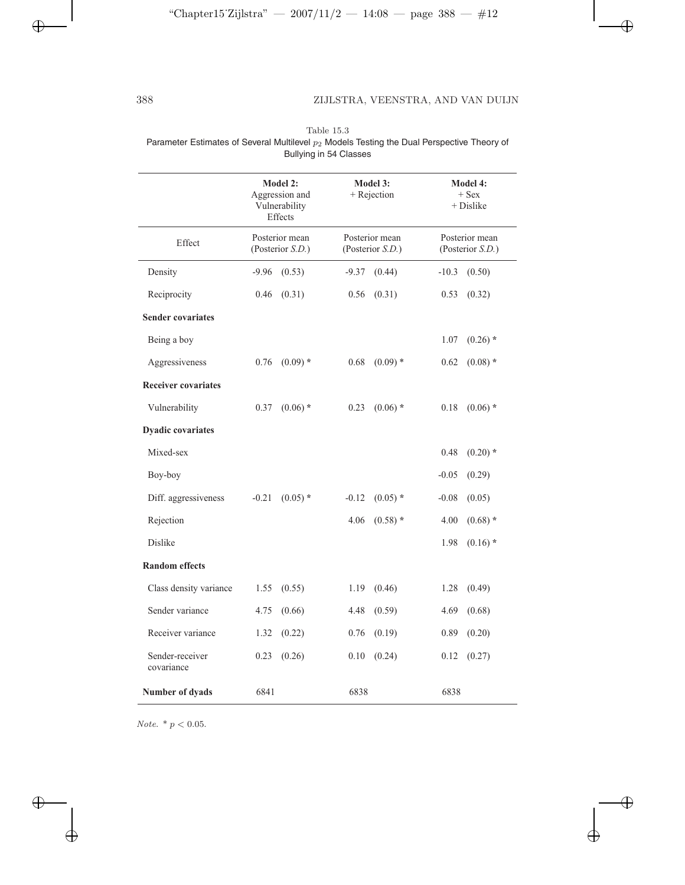$\bigoplus$ 

 $\bigoplus$ 

 $\oplus$ 

|                               |                                                                                              |            | Dunying in UT Uluddud                                                  |            |                                                                               |            |
|-------------------------------|----------------------------------------------------------------------------------------------|------------|------------------------------------------------------------------------|------------|-------------------------------------------------------------------------------|------------|
|                               | Model 2:<br>Aggression and<br>Vulnerability<br>Effects<br>Posterior mean<br>(Posterior S.D.) |            | <b>Model 3:</b><br>$+$ Rejection<br>Posterior mean<br>(Posterior S.D.) |            | <b>Model 4:</b><br>$+$ Sex<br>+ Dislike<br>Posterior mean<br>(Posterior S.D.) |            |
| Effect                        |                                                                                              |            |                                                                        |            |                                                                               |            |
| Density                       | $-9.96$                                                                                      | (0.53)     | $-9.37$                                                                | (0.44)     | $-10.3$                                                                       | (0.50)     |
| Reciprocity                   | 0.46                                                                                         | (0.31)     | 0.56                                                                   | (0.31)     | 0.53                                                                          | (0.32)     |
| <b>Sender covariates</b>      |                                                                                              |            |                                                                        |            |                                                                               |            |
| Being a boy                   |                                                                                              |            |                                                                        |            | 1.07                                                                          | $(0.26)$ * |
| Aggressiveness                | 0.76                                                                                         | $(0.09)$ * | 0.68                                                                   | $(0.09)$ * | 0.62                                                                          | $(0.08)$ * |
| <b>Receiver covariates</b>    |                                                                                              |            |                                                                        |            |                                                                               |            |
| Vulnerability                 | 0.37                                                                                         | $(0.06)$ * | 0.23                                                                   | $(0.06)$ * | 0.18                                                                          | $(0.06)$ * |
| <b>Dyadic covariates</b>      |                                                                                              |            |                                                                        |            |                                                                               |            |
| Mixed-sex                     |                                                                                              |            |                                                                        |            | 0.48                                                                          | $(0.20)$ * |
| Boy-boy                       |                                                                                              |            |                                                                        |            | $-0.05$                                                                       | (0.29)     |
| Diff. aggressiveness          | $-0.21$                                                                                      | $(0.05)$ * | $-0.12$                                                                | $(0.05)$ * | $-0.08$                                                                       | (0.05)     |
| Rejection                     |                                                                                              |            | 4.06                                                                   | $(0.58)$ * | 4.00                                                                          | $(0.68)$ * |
| <b>Dislike</b>                |                                                                                              |            |                                                                        |            | 1.98                                                                          | $(0.16)$ * |
| <b>Random</b> effects         |                                                                                              |            |                                                                        |            |                                                                               |            |
| Class density variance        | 1.55                                                                                         | (0.55)     | 1.19                                                                   | (0.46)     | 1.28                                                                          | (0.49)     |
| Sender variance               | 4.75                                                                                         | (0.66)     | 4.48                                                                   | (0.59)     | 4.69                                                                          | (0.68)     |
| Receiver variance             | 1.32                                                                                         | (0.22)     | 0.76                                                                   | (0.19)     | 0.89                                                                          | (0.20)     |
| Sender-receiver<br>covariance | 0.23                                                                                         | (0.26)     | 0.10                                                                   | (0.24)     | 0.12                                                                          | (0.27)     |
| <b>Number of dyads</b>        | 6841                                                                                         |            | 6838                                                                   |            | 6838                                                                          |            |

Table 15.3 Parameter Estimates of Several Multilevel  $p_2$  Models Testing the Dual Perspective Theory of Bullying in 54 Classes

 $Note.~* p < 0.05.$ 

 $\bigoplus$ 

 $\bigoplus$ 

 $\bigoplus$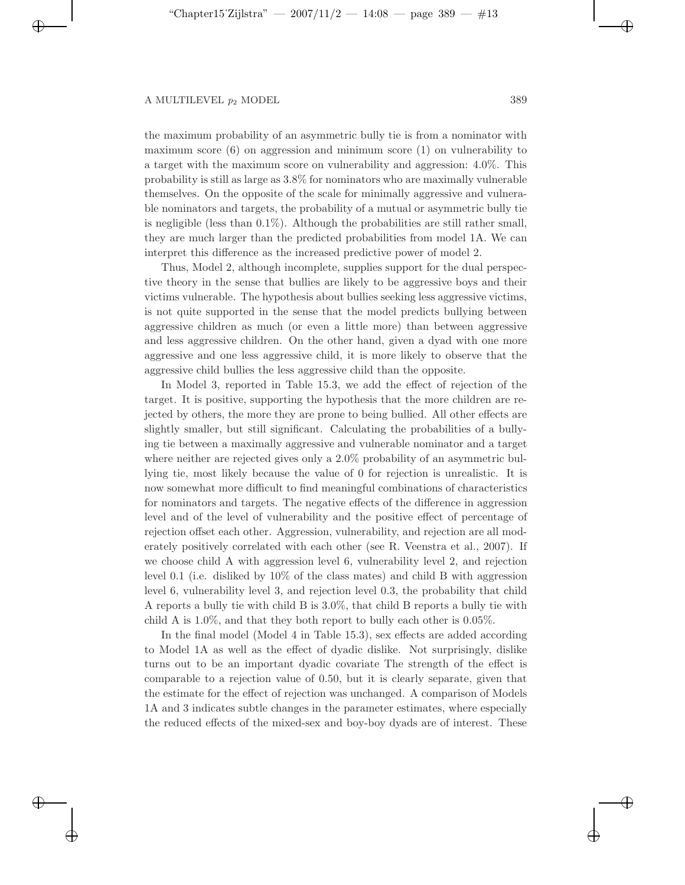✐

✐

✐

the maximum probability of an asymmetric bully tie is from a nominator with maximum score  $(6)$  on aggression and minimum score  $(1)$  on vulnerability to a target with the maximum score on vulnerability and aggression: 4.0%. This probability is still as large as 3.8% for nominators who are maximally vulnerable themselves. On the opposite of the scale for minimally aggressive and vulnerable nominators and targets, the probability of a mutual or asymmetric bully tie is negligible (less than  $0.1\%$ ). Although the probabilities are still rather small, they are much larger than the predicted probabilities from model 1A. We can interpret this difference as the increased predictive power of model 2.

Thus, Model 2, although incomplete, supplies support for the dual perspective theory in the sense that bullies are likely to be aggressive boys and their victims vulnerable. The hypothesis about bullies seeking less aggressive victims, is not quite supported in the sense that the model predicts bullying between aggressive children as much (or even a little more) than between aggressive and less aggressive children. On the other hand, given a dyad with one more aggressive and one less aggressive child, it is more likely to observe that the aggressive child bullies the less aggressive child than the opposite.

In Model 3, reported in Table 15.3, we add the effect of rejection of the target. It is positive, supporting the hypothesis that the more children are rejected by others, the more they are prone to being bullied. All other effects are slightly smaller, but still significant. Calculating the probabilities of a bullying tie between a maximally aggressive and vulnerable nominator and a target where neither are rejected gives only a  $2.0\%$  probability of an asymmetric bullying tie, most likely because the value of 0 for rejection is unrealistic. It is now somewhat more difficult to find meaningful combinations of characteristics for nominators and targets. The negative effects of the difference in aggression level and of the level of vulnerability and the positive effect of percentage of rejection offset each other. Aggression, vulnerability, and rejection are all moderately positively correlated with each other (see R. Veenstra et al., 2007). If we choose child A with aggression level 6, vulnerability level 2, and rejection level 0.1 (i.e. disliked by 10% of the class mates) and child B with aggression level 6, vulnerability level 3, and rejection level 0.3, the probability that child A reports a bully tie with child B is 3.0%, that child B reports a bully tie with child A is 1.0%, and that they both report to bully each other is 0.05%.

In the final model (Model 4 in Table 15.3), sex effects are added according to Model 1A as well as the effect of dyadic dislike. Not surprisingly, dislike turns out to be an important dyadic covariate The strength of the effect is comparable to a rejection value of 0.50, but it is clearly separate, given that the estimate for the effect of rejection was unchanged. A comparison of Models 1A and 3 indicates subtle changes in the parameter estimates, where especially the reduced effects of the mixed-sex and boy-boy dyads are of interest. These

 $\Theta$ 

✐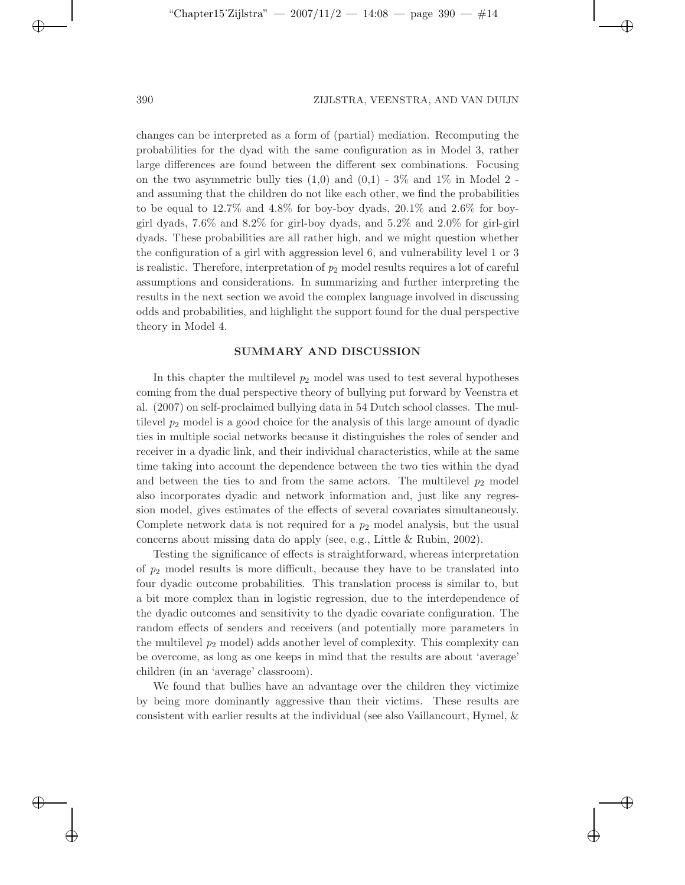$\Theta$ 

✐

✐

changes can be interpreted as a form of (partial) mediation. Recomputing the probabilities for the dyad with the same configuration as in Model 3, rather large differences are found between the different sex combinations. Focusing on the two asymmetric bully ties  $(1,0)$  and  $(0,1)$  - 3% and 1% in Model 2 and assuming that the children do not like each other, we find the probabilities to be equal to 12.7% and 4.8% for boy-boy dyads, 20.1% and 2.6% for boygirl dyads, 7.6% and 8.2% for girl-boy dyads, and 5.2% and 2.0% for girl-girl dyads. These probabilities are all rather high, and we might question whether the configuration of a girl with aggression level 6, and vulnerability level 1 or 3 is realistic. Therefore, interpretation of  $p_2$  model results requires a lot of careful assumptions and considerations. In summarizing and further interpreting the results in the next section we avoid the complex language involved in discussing odds and probabilities, and highlight the support found for the dual perspective theory in Model 4.

## **SUMMARY AND DISCUSSION**

In this chapter the multilevel  $p_2$  model was used to test several hypotheses coming from the dual perspective theory of bullying put forward by Veenstra et al. (2007) on self-proclaimed bullying data in 54 Dutch school classes. The multilevel *p*<sup>2</sup> model is a good choice for the analysis of this large amount of dyadic ties in multiple social networks because it distinguishes the roles of sender and receiver in a dyadic link, and their individual characteristics, while at the same time taking into account the dependence between the two ties within the dyad and between the ties to and from the same actors. The multilevel  $p_2$  model also incorporates dyadic and network information and, just like any regression model, gives estimates of the effects of several covariates simultaneously. Complete network data is not required for a  $p_2$  model analysis, but the usual concerns about missing data do apply (see, e.g., Little & Rubin, 2002).

Testing the significance of effects is straightforward, whereas interpretation of *p*<sup>2</sup> model results is more difficult, because they have to be translated into four dyadic outcome probabilities. This translation process is similar to, but a bit more complex than in logistic regression, due to the interdependence of the dyadic outcomes and sensitivity to the dyadic covariate configuration. The random effects of senders and receivers (and potentially more parameters in the multilevel  $p_2$  model) adds another level of complexity. This complexity can be overcome, as long as one keeps in mind that the results are about 'average' children (in an 'average' classroom).

We found that bullies have an advantage over the children they victimize by being more dominantly aggressive than their victims. These results are consistent with earlier results at the individual (see also Vaillancourt, Hymel, &

✐

✐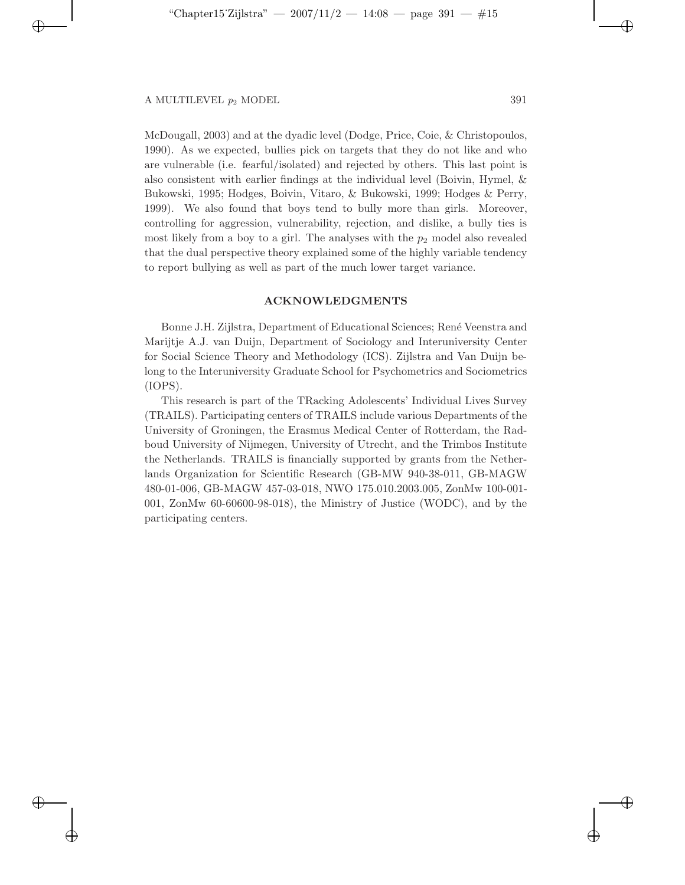✐

✐

 $\oplus$ 

McDougall, 2003) and at the dyadic level (Dodge, Price, Coie, & Christopoulos, 1990). As we expected, bullies pick on targets that they do not like and who are vulnerable (i.e. fearful/isolated) and rejected by others. This last point is also consistent with earlier findings at the individual level (Boivin, Hymel, & Bukowski, 1995; Hodges, Boivin, Vitaro, & Bukowski, 1999; Hodges & Perry, 1999). We also found that boys tend to bully more than girls. Moreover, controlling for aggression, vulnerability, rejection, and dislike, a bully ties is most likely from a boy to a girl. The analyses with the  $p_2$  model also revealed that the dual perspective theory explained some of the highly variable tendency to report bullying as well as part of the much lower target variance.

## **ACKNOWLEDGMENTS**

Bonne J.H. Zijlstra, Department of Educational Sciences; Ren´e Veenstra and Marijtje A.J. van Duijn, Department of Sociology and Interuniversity Center for Social Science Theory and Methodology (ICS). Zijlstra and Van Duijn belong to the Interuniversity Graduate School for Psychometrics and Sociometrics (IOPS).

This research is part of the TRacking Adolescents' Individual Lives Survey (TRAILS). Participating centers of TRAILS include various Departments of the University of Groningen, the Erasmus Medical Center of Rotterdam, the Radboud University of Nijmegen, University of Utrecht, and the Trimbos Institute the Netherlands. TRAILS is financially supported by grants from the Netherlands Organization for Scientific Research (GB-MW 940-38-011, GB-MAGW 480-01-006, GB-MAGW 457-03-018, NWO 175.010.2003.005, ZonMw 100-001- 001, ZonMw 60-60600-98-018), the Ministry of Justice (WODC), and by the participating centers.

 $\Theta$ 

✐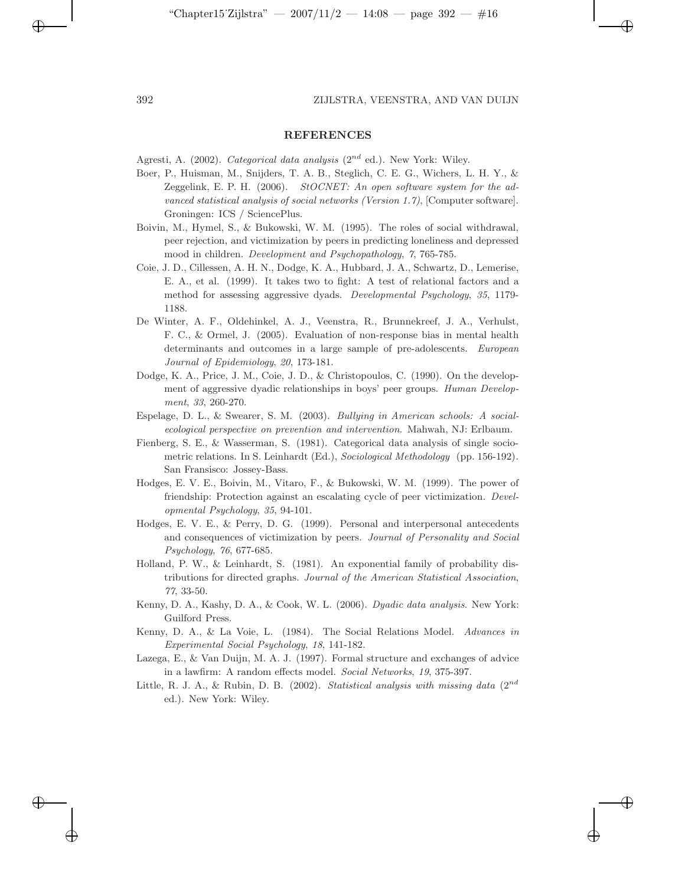✐

✐

✐

### **REFERENCES**

Agresti, A. (2002). *Categorical data analysis* (2*nd* ed.). New York: Wiley.

- Boer, P., Huisman, M., Snijders, T. A. B., Steglich, C. E. G., Wichers, L. H. Y., & Zeggelink, E. P. H. (2006). *StOCNET: An open software system for the advanced statistical analysis of social networks (Version 1.7)*, [Computer software]. Groningen: ICS / SciencePlus.
- Boivin, M., Hymel, S., & Bukowski, W. M. (1995). The roles of social withdrawal, peer rejection, and victimization by peers in predicting loneliness and depressed mood in children. *Development and Psychopathology*, *7*, 765-785.
- Coie, J. D., Cillessen, A. H. N., Dodge, K. A., Hubbard, J. A., Schwartz, D., Lemerise, E. A., et al. (1999). It takes two to fight: A test of relational factors and a method for assessing aggressive dyads. *Developmental Psychology*, *35*, 1179- 1188.
- De Winter, A. F., Oldehinkel, A. J., Veenstra, R., Brunnekreef, J. A., Verhulst, F. C., & Ormel, J. (2005). Evaluation of non-response bias in mental health determinants and outcomes in a large sample of pre-adolescents. *European Journal of Epidemiology*, *20*, 173-181.
- Dodge, K. A., Price, J. M., Coie, J. D., & Christopoulos, C. (1990). On the development of aggressive dyadic relationships in boys' peer groups. *Human Development*, *33*, 260-270.
- Espelage, D. L., & Swearer, S. M. (2003). *Bullying in American schools: A socialecological perspective on prevention and intervention*. Mahwah, NJ: Erlbaum.
- Fienberg, S. E., & Wasserman, S. (1981). Categorical data analysis of single sociometric relations. In S. Leinhardt (Ed.), *Sociological Methodology* (pp. 156-192)*.* San Fransisco: Jossey-Bass.
- Hodges, E. V. E., Boivin, M., Vitaro, F., & Bukowski, W. M. (1999). The power of friendship: Protection against an escalating cycle of peer victimization. *Developmental Psychology*, *35*, 94-101.
- Hodges, E. V. E., & Perry, D. G. (1999). Personal and interpersonal antecedents and consequences of victimization by peers. *Journal of Personality and Social Psychology*, *76*, 677-685.
- Holland, P. W., & Leinhardt, S. (1981). An exponential family of probability distributions for directed graphs. *Journal of the American Statistical Association*, *77*, 33-50.
- Kenny, D. A., Kashy, D. A., & Cook, W. L. (2006). *Dyadic data analysis*. New York: Guilford Press.
- Kenny, D. A., & La Voie, L. (1984). The Social Relations Model. *Advances in Experimental Social Psychology*, *18*, 141-182.
- Lazega, E., & Van Duijn, M. A. J. (1997). Formal structure and exchanges of advice in a lawfirm: A random effects model. *Social Networks*, *19*, 375-397.
- Little, R. J. A., & Rubin, D. B. (2002). *Statistical analysis with missing data* (2*nd* ed.). New York: Wiley.

✐

✐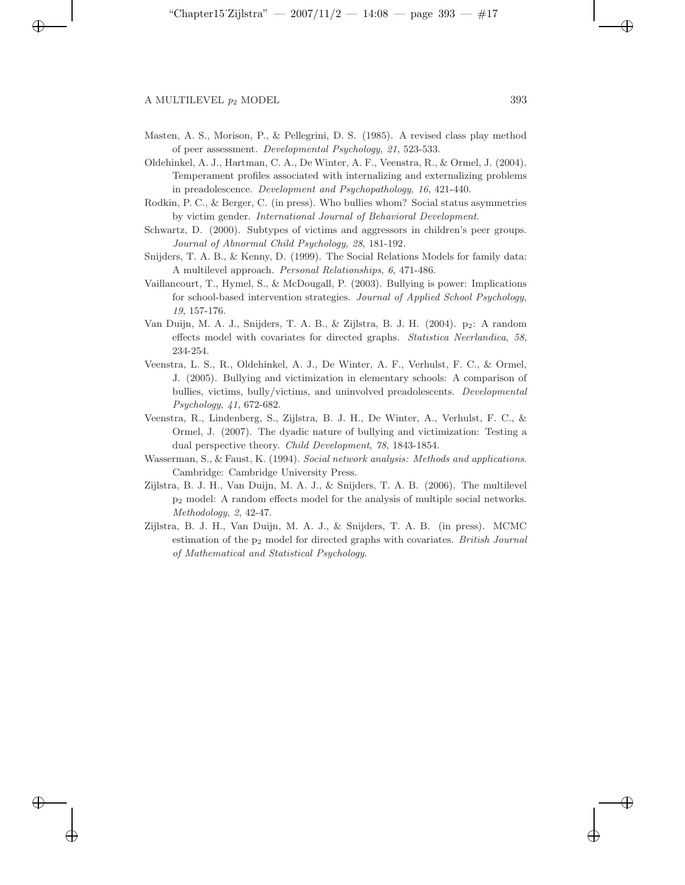✐

✐

✐

- Masten, A. S., Morison, P., & Pellegrini, D. S. (1985). A revised class play method of peer assessment. *Developmental Psychology*, *21*, 523-533.
- Oldehinkel, A. J., Hartman, C. A., De Winter, A. F., Veenstra, R., & Ormel, J. (2004). Temperament profiles associated with internalizing and externalizing problems in preadolescence. *Development and Psychopathology*, *16*, 421-440.
- Rodkin, P. C., & Berger, C. (in press). Who bullies whom? Social status asymmetries by victim gender. *International Journal of Behavioral Development*.
- Schwartz, D. (2000). Subtypes of victims and aggressors in children's peer groups. *Journal of Abnormal Child Psychology*, *28*, 181-192.
- Snijders, T. A. B., & Kenny, D. (1999). The Social Relations Models for family data: A multilevel approach. *Personal Relationships*, *6*, 471-486.
- Vaillancourt, T., Hymel, S., & McDougall, P. (2003). Bullying is power: Implications for school-based intervention strategies. *Journal of Applied School Psychology*, *19*, 157-176.
- Van Duijn, M. A. J., Snijders, T. A. B., & Zijlstra, B. J. H. (2004). p<sub>2</sub>: A random effects model with covariates for directed graphs. *Statistica Neerlandica*, *58*, 234-254.
- Veenstra, L. S., R., Oldehinkel, A. J., De Winter, A. F., Verhulst, F. C., & Ormel, J. (2005). Bullying and victimization in elementary schools: A comparison of bullies, victims, bully/victims, and uninvolved preadolescents. *Developmental Psychology*, *41*, 672-682.
- Veenstra, R., Lindenberg, S., Zijlstra, B. J. H., De Winter, A., Verhulst, F. C., & Ormel, J. (2007). The dyadic nature of bullying and victimization: Testing a dual perspective theory. *Child Development*, *78*, 1843-1854.
- Wasserman, S., & Faust, K. (1994). *Social network analysis: Methods and applications*. Cambridge: Cambridge University Press.
- Zijlstra, B. J. H., Van Duijn, M. A. J., & Snijders, T. A. B. (2006). The multilevel p<sup>2</sup> model: A random effects model for the analysis of multiple social networks. *Methodology*, *2*, 42-47.
- Zijlstra, B. J. H., Van Duijn, M. A. J., & Snijders, T. A. B. (in press). MCMC estimation of the p<sup>2</sup> model for directed graphs with covariates. *British Journal of Mathematical and Statistical Psychology*.

✐

✐